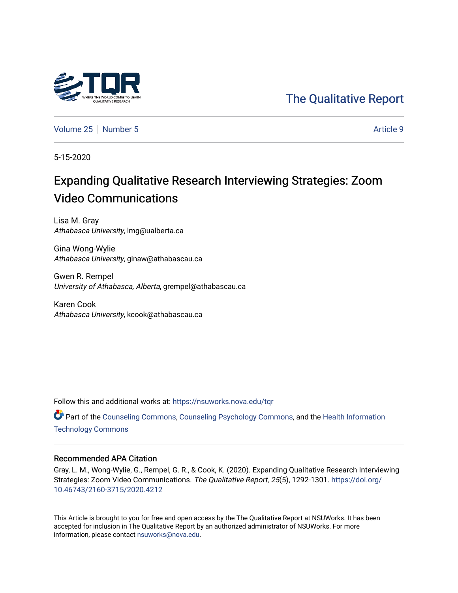

[The Qualitative Report](https://nsuworks.nova.edu/tqr) 

[Volume 25](https://nsuworks.nova.edu/tqr/vol25) [Number 5](https://nsuworks.nova.edu/tqr/vol25/iss5) Article 9

5-15-2020

# Expanding Qualitative Research Interviewing Strategies: Zoom Video Communications

Lisa M. Gray Athabasca University, lmg@ualberta.ca

Gina Wong-Wylie Athabasca University, ginaw@athabascau.ca

Gwen R. Rempel University of Athabasca, Alberta, grempel@athabascau.ca

Karen Cook Athabasca University, kcook@athabascau.ca

Follow this and additional works at: [https://nsuworks.nova.edu/tqr](https://nsuworks.nova.edu/tqr?utm_source=nsuworks.nova.edu%2Ftqr%2Fvol25%2Fiss5%2F9&utm_medium=PDF&utm_campaign=PDFCoverPages) 

Part of the [Counseling Commons,](http://network.bepress.com/hgg/discipline/1268?utm_source=nsuworks.nova.edu%2Ftqr%2Fvol25%2Fiss5%2F9&utm_medium=PDF&utm_campaign=PDFCoverPages) [Counseling Psychology Commons,](http://network.bepress.com/hgg/discipline/1044?utm_source=nsuworks.nova.edu%2Ftqr%2Fvol25%2Fiss5%2F9&utm_medium=PDF&utm_campaign=PDFCoverPages) and the [Health Information](http://network.bepress.com/hgg/discipline/1239?utm_source=nsuworks.nova.edu%2Ftqr%2Fvol25%2Fiss5%2F9&utm_medium=PDF&utm_campaign=PDFCoverPages) [Technology Commons](http://network.bepress.com/hgg/discipline/1239?utm_source=nsuworks.nova.edu%2Ftqr%2Fvol25%2Fiss5%2F9&utm_medium=PDF&utm_campaign=PDFCoverPages) 

#### Recommended APA Citation

Gray, L. M., Wong-Wylie, G., Rempel, G. R., & Cook, K. (2020). Expanding Qualitative Research Interviewing Strategies: Zoom Video Communications. The Qualitative Report, 25(5), 1292-1301. [https://doi.org/](https://doi.org/10.46743/2160-3715/2020.4212) [10.46743/2160-3715/2020.4212](https://doi.org/10.46743/2160-3715/2020.4212)

This Article is brought to you for free and open access by the The Qualitative Report at NSUWorks. It has been accepted for inclusion in The Qualitative Report by an authorized administrator of NSUWorks. For more information, please contact [nsuworks@nova.edu.](mailto:nsuworks@nova.edu)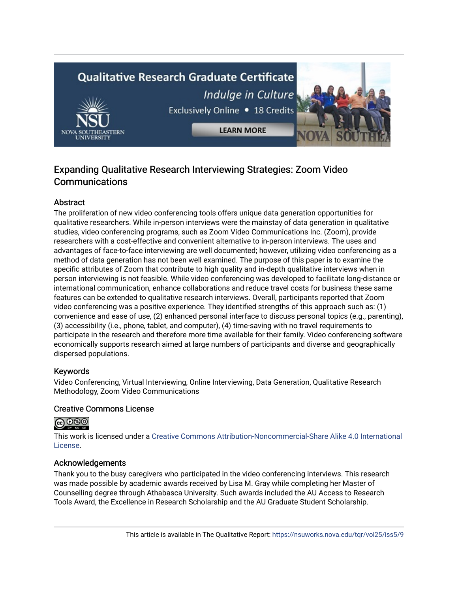# **Qualitative Research Graduate Certificate** Indulge in Culture



Exclusively Online . 18 Credits

**LEARN MORE** 

# Expanding Qualitative Research Interviewing Strategies: Zoom Video **Communications**

## **Abstract**

The proliferation of new video conferencing tools offers unique data generation opportunities for qualitative researchers. While in-person interviews were the mainstay of data generation in qualitative studies, video conferencing programs, such as Zoom Video Communications Inc. (Zoom), provide researchers with a cost-effective and convenient alternative to in-person interviews. The uses and advantages of face-to-face interviewing are well documented; however, utilizing video conferencing as a method of data generation has not been well examined. The purpose of this paper is to examine the specific attributes of Zoom that contribute to high quality and in-depth qualitative interviews when in person interviewing is not feasible. While video conferencing was developed to facilitate long-distance or international communication, enhance collaborations and reduce travel costs for business these same features can be extended to qualitative research interviews. Overall, participants reported that Zoom video conferencing was a positive experience. They identified strengths of this approach such as: (1) convenience and ease of use, (2) enhanced personal interface to discuss personal topics (e.g., parenting), (3) accessibility (i.e., phone, tablet, and computer), (4) time-saving with no travel requirements to participate in the research and therefore more time available for their family. Video conferencing software economically supports research aimed at large numbers of participants and diverse and geographically dispersed populations.

## Keywords

Video Conferencing, Virtual Interviewing, Online Interviewing, Data Generation, Qualitative Research Methodology, Zoom Video Communications

## Creative Commons License

# **@** 000

This work is licensed under a [Creative Commons Attribution-Noncommercial-Share Alike 4.0 International](https://creativecommons.org/licenses/by-nc-sa/4.0/)  [License](https://creativecommons.org/licenses/by-nc-sa/4.0/).

## Acknowledgements

Thank you to the busy caregivers who participated in the video conferencing interviews. This research was made possible by academic awards received by Lisa M. Gray while completing her Master of Counselling degree through Athabasca University. Such awards included the AU Access to Research Tools Award, the Excellence in Research Scholarship and the AU Graduate Student Scholarship.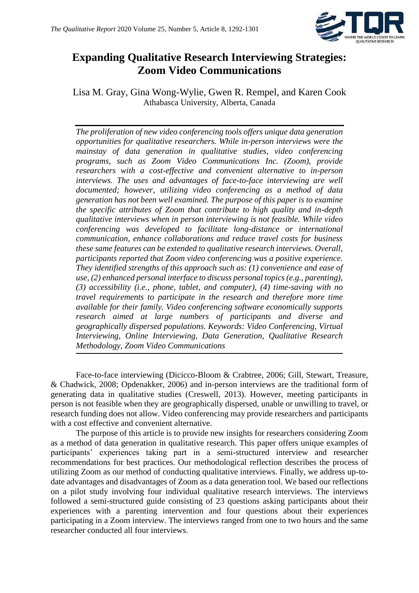

# **Expanding Qualitative Research Interviewing Strategies: Zoom Video Communications**

Lisa M. Gray, Gina Wong-Wylie, Gwen R. Rempel, and Karen Cook Athabasca University, Alberta, Canada

*The proliferation of new video conferencing tools offers unique data generation opportunities for qualitative researchers. While in-person interviews were the mainstay of data generation in qualitative studies, video conferencing programs, such as Zoom Video Communications Inc. (Zoom), provide researchers with a cost-effective and convenient alternative to in-person interviews. The uses and advantages of face-to-face interviewing are well documented; however, utilizing video conferencing as a method of data generation has not been well examined. The purpose of this paper is to examine the specific attributes of Zoom that contribute to high quality and in-depth qualitative interviews when in person interviewing is not feasible. While video conferencing was developed to facilitate long-distance or international communication, enhance collaborations and reduce travel costs for business these same features can be extended to qualitative research interviews. Overall, participants reported that Zoom video conferencing was a positive experience. They identified strengths of this approach such as: (1) convenience and ease of use, (2) enhanced personal interface to discuss personal topics (e.g., parenting), (3) accessibility (i.e., phone, tablet, and computer), (4) time-saving with no travel requirements to participate in the research and therefore more time available for their family. Video conferencing software economically supports research aimed at large numbers of participants and diverse and geographically dispersed populations. Keywords: Video Conferencing, Virtual Interviewing, Online Interviewing, Data Generation, Qualitative Research Methodology, Zoom Video Communications*

Face-to-face interviewing (Dicicco-Bloom & Crabtree, 2006; Gill, Stewart, Treasure, & Chadwick, 2008; Opdenakker, 2006) and in-person interviews are the traditional form of generating data in qualitative studies (Creswell, 2013). However, meeting participants in person is not feasible when they are geographically dispersed, unable or unwilling to travel, or research funding does not allow. Video conferencing may provide researchers and participants with a cost effective and convenient alternative.

The purpose of this article is to provide new insights for researchers considering Zoom as a method of data generation in qualitative research. This paper offers unique examples of participants' experiences taking part in a semi-structured interview and researcher recommendations for best practices. Our methodological reflection describes the process of utilizing Zoom as our method of conducting qualitative interviews. Finally, we address up-todate advantages and disadvantages of Zoom as a data generation tool. We based our reflections on a pilot study involving four individual qualitative research interviews. The interviews followed a semi-structured guide consisting of 23 questions asking participants about their experiences with a parenting intervention and four questions about their experiences participating in a Zoom interview. The interviews ranged from one to two hours and the same researcher conducted all four interviews.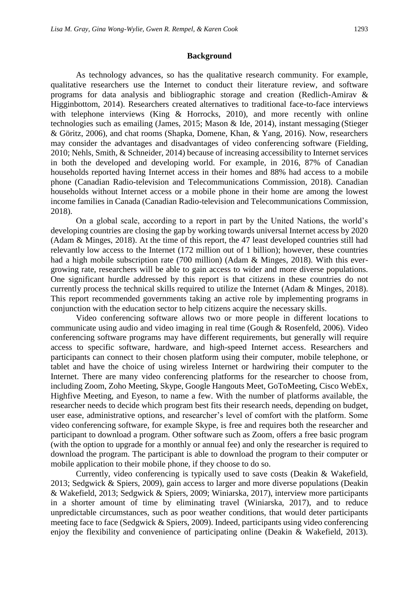#### **Background**

As technology advances, so has the qualitative research community. For example, qualitative researchers use the Internet to conduct their literature review, and software programs for data analysis and bibliographic storage and creation (Redlich-Amirav & Higginbottom, 2014). Researchers created alternatives to traditional face-to-face interviews with telephone interviews (King & Horrocks, 2010), and more recently with online technologies such as emailing (James, 2015; Mason & Ide, 2014), instant messaging (Stieger & Göritz, 2006), and chat rooms (Shapka, Domene, Khan, & Yang, 2016). Now, researchers may consider the advantages and disadvantages of video conferencing software (Fielding, 2010; Nehls, Smith, & Schneider, 2014) because of increasing accessibility to Internet services in both the developed and developing world. For example, in 2016, 87% of Canadian households reported having Internet access in their homes and 88% had access to a mobile phone (Canadian Radio-television and Telecommunications Commission, 2018). Canadian households without Internet access or a mobile phone in their home are among the lowest income families in Canada (Canadian Radio-television and Telecommunications Commission, 2018).

On a global scale, according to a report in part by the United Nations, the world's developing countries are closing the gap by working towards universal Internet access by 2020 (Adam & Minges, 2018). At the time of this report, the 47 least developed countries still had relevantly low access to the Internet (172 million out of 1 billion); however, these countries had a high mobile subscription rate (700 million) (Adam & Minges, 2018). With this evergrowing rate, researchers will be able to gain access to wider and more diverse populations. One significant hurdle addressed by this report is that citizens in these countries do not currently process the technical skills required to utilize the Internet (Adam & Minges, 2018). This report recommended governments taking an active role by implementing programs in conjunction with the education sector to help citizens acquire the necessary skills.

Video conferencing software allows two or more people in different locations to communicate using audio and video imaging in real time (Gough & Rosenfeld, 2006). Video conferencing software programs may have different requirements, but generally will require access to specific software, hardware, and high-speed Internet access. Researchers and participants can connect to their chosen platform using their computer, mobile telephone, or tablet and have the choice of using wireless Internet or hardwiring their computer to the Internet. There are many video conferencing platforms for the researcher to choose from, including Zoom, Zoho Meeting, Skype, Google Hangouts Meet, GoToMeeting, Cisco WebEx, Highfive Meeting, and Eyeson, to name a few. With the number of platforms available, the researcher needs to decide which program best fits their research needs, depending on budget, user ease, administrative options, and researcher's level of comfort with the platform. Some video conferencing software, for example Skype, is free and requires both the researcher and participant to download a program. Other software such as Zoom, offers a free basic program (with the option to upgrade for a monthly or annual fee) and only the researcher is required to download the program. The participant is able to download the program to their computer or mobile application to their mobile phone, if they choose to do so.

Currently, video conferencing is typically used to save costs (Deakin & Wakefield, 2013; Sedgwick & Spiers, 2009), gain access to larger and more diverse populations (Deakin & Wakefield, 2013; Sedgwick & Spiers, 2009; Winiarska, 2017), interview more participants in a shorter amount of time by eliminating travel (Winiarska, 2017), and to reduce unpredictable circumstances, such as poor weather conditions, that would deter participants meeting face to face (Sedgwick & Spiers, 2009). Indeed, participants using video conferencing enjoy the flexibility and convenience of participating online (Deakin & Wakefield, 2013).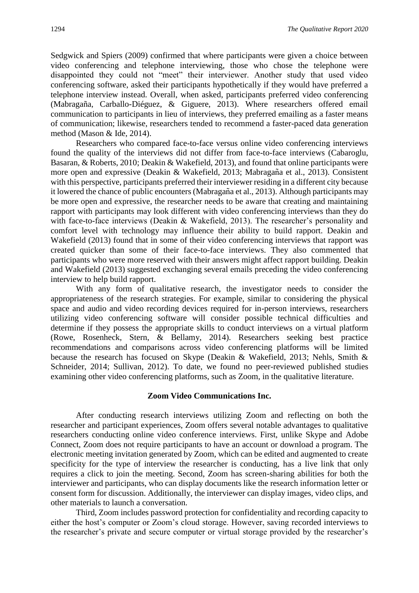Sedgwick and Spiers (2009) confirmed that where participants were given a choice between video conferencing and telephone interviewing, those who chose the telephone were disappointed they could not "meet" their interviewer. Another study that used video conferencing software, asked their participants hypothetically if they would have preferred a telephone interview instead. Overall, when asked, participants preferred video conferencing (Mabragaña, Carballo-Diéguez, & Giguere, 2013). Where researchers offered email communication to participants in lieu of interviews, they preferred emailing as a faster means of communication; likewise, researchers tended to recommend a faster-paced data generation method (Mason & Ide, 2014).

Researchers who compared face-to-face versus online video conferencing interviews found the quality of the interviews did not differ from face-to-face interviews (Cabaroglu, Basaran, & Roberts, 2010; Deakin & Wakefield, 2013), and found that online participants were more open and expressive (Deakin & Wakefield, 2013; Mabragaña et al., 2013). Consistent with this perspective, participants preferred their interviewer residing in a different city because it lowered the chance of public encounters (Mabragaña et al., 2013). Although participants may be more open and expressive, the researcher needs to be aware that creating and maintaining rapport with participants may look different with video conferencing interviews than they do with face-to-face interviews (Deakin & Wakefield, 2013). The researcher's personality and comfort level with technology may influence their ability to build rapport. Deakin and Wakefield (2013) found that in some of their video conferencing interviews that rapport was created quicker than some of their face-to-face interviews. They also commented that participants who were more reserved with their answers might affect rapport building. Deakin and Wakefield (2013) suggested exchanging several emails preceding the video conferencing interview to help build rapport.

With any form of qualitative research, the investigator needs to consider the appropriateness of the research strategies. For example, similar to considering the physical space and audio and video recording devices required for in-person interviews, researchers utilizing video conferencing software will consider possible technical difficulties and determine if they possess the appropriate skills to conduct interviews on a virtual platform (Rowe, Rosenheck, Stern, & Bellamy, 2014). Researchers seeking best practice recommendations and comparisons across video conferencing platforms will be limited because the research has focused on Skype (Deakin & Wakefield, 2013; Nehls, Smith & Schneider, 2014; Sullivan, 2012). To date, we found no peer-reviewed published studies examining other video conferencing platforms, such as Zoom, in the qualitative literature.

#### **Zoom Video Communications Inc.**

After conducting research interviews utilizing Zoom and reflecting on both the researcher and participant experiences, Zoom offers several notable advantages to qualitative researchers conducting online video conference interviews. First, unlike Skype and Adobe Connect, Zoom does not require participants to have an account or download a program. The electronic meeting invitation generated by Zoom, which can be edited and augmented to create specificity for the type of interview the researcher is conducting, has a live link that only requires a click to join the meeting. Second, Zoom has screen-sharing abilities for both the interviewer and participants, who can display documents like the research information letter or consent form for discussion. Additionally, the interviewer can display images, video clips, and other materials to launch a conversation.

Third, Zoom includes password protection for confidentiality and recording capacity to either the host's computer or Zoom's cloud storage. However, saving recorded interviews to the researcher's private and secure computer or virtual storage provided by the researcher's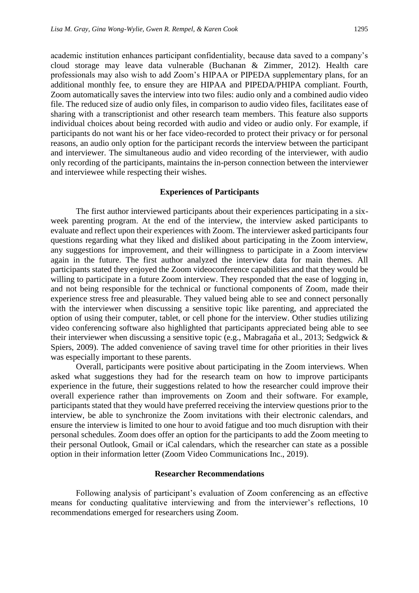academic institution enhances participant confidentiality, because data saved to a company's cloud storage may leave data vulnerable (Buchanan & Zimmer, 2012). Health care professionals may also wish to add Zoom's HIPAA or PIPEDA supplementary plans, for an additional monthly fee, to ensure they are HIPAA and PIPEDA/PHIPA compliant. Fourth, Zoom automatically saves the interview into two files: audio only and a combined audio video file. The reduced size of audio only files, in comparison to audio video files, facilitates ease of sharing with a transcriptionist and other research team members. This feature also supports individual choices about being recorded with audio and video or audio only. For example, if participants do not want his or her face video-recorded to protect their privacy or for personal reasons, an audio only option for the participant records the interview between the participant and interviewer. The simultaneous audio and video recording of the interviewer, with audio only recording of the participants, maintains the in-person connection between the interviewer and interviewee while respecting their wishes.

#### **Experiences of Participants**

The first author interviewed participants about their experiences participating in a sixweek parenting program. At the end of the interview, the interview asked participants to evaluate and reflect upon their experiences with Zoom. The interviewer asked participants four questions regarding what they liked and disliked about participating in the Zoom interview, any suggestions for improvement, and their willingness to participate in a Zoom interview again in the future. The first author analyzed the interview data for main themes. All participants stated they enjoyed the Zoom videoconference capabilities and that they would be willing to participate in a future Zoom interview. They responded that the ease of logging in, and not being responsible for the technical or functional components of Zoom, made their experience stress free and pleasurable. They valued being able to see and connect personally with the interviewer when discussing a sensitive topic like parenting, and appreciated the option of using their computer, tablet, or cell phone for the interview. Other studies utilizing video conferencing software also highlighted that participants appreciated being able to see their interviewer when discussing a sensitive topic (e.g., Mabragaña et al., 2013; Sedgwick & Spiers, 2009). The added convenience of saving travel time for other priorities in their lives was especially important to these parents.

Overall, participants were positive about participating in the Zoom interviews. When asked what suggestions they had for the research team on how to improve participants experience in the future, their suggestions related to how the researcher could improve their overall experience rather than improvements on Zoom and their software. For example, participants stated that they would have preferred receiving the interview questions prior to the interview, be able to synchronize the Zoom invitations with their electronic calendars, and ensure the interview is limited to one hour to avoid fatigue and too much disruption with their personal schedules. Zoom does offer an option for the participants to add the Zoom meeting to their personal Outlook, Gmail or iCal calendars, which the researcher can state as a possible option in their information letter (Zoom Video Communications Inc., 2019).

#### **Researcher Recommendations**

Following analysis of participant's evaluation of Zoom conferencing as an effective means for conducting qualitative interviewing and from the interviewer's reflections, 10 recommendations emerged for researchers using Zoom.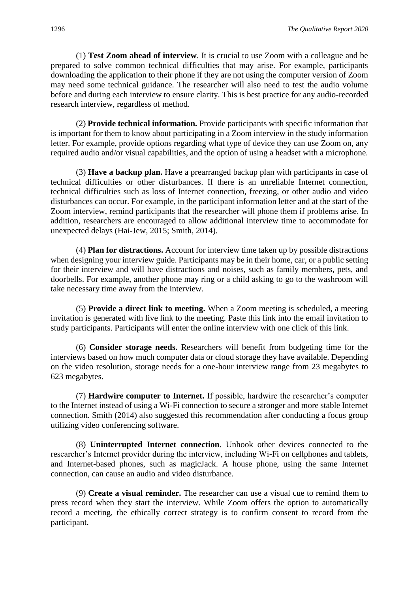(1) **Test Zoom ahead of interview**. It is crucial to use Zoom with a colleague and be prepared to solve common technical difficulties that may arise. For example, participants downloading the application to their phone if they are not using the computer version of Zoom may need some technical guidance. The researcher will also need to test the audio volume before and during each interview to ensure clarity. This is best practice for any audio-recorded research interview, regardless of method.

(2) **Provide technical information.** Provide participants with specific information that is important for them to know about participating in a Zoom interview in the study information letter. For example, provide options regarding what type of device they can use Zoom on, any required audio and/or visual capabilities, and the option of using a headset with a microphone.

(3) **Have a backup plan.** Have a prearranged backup plan with participants in case of technical difficulties or other disturbances. If there is an unreliable Internet connection, technical difficulties such as loss of Internet connection, freezing, or other audio and video disturbances can occur. For example, in the participant information letter and at the start of the Zoom interview, remind participants that the researcher will phone them if problems arise. In addition, researchers are encouraged to allow additional interview time to accommodate for unexpected delays (Hai-Jew, 2015; Smith, 2014).

(4) **Plan for distractions.** Account for interview time taken up by possible distractions when designing your interview guide. Participants may be in their home, car, or a public setting for their interview and will have distractions and noises, such as family members, pets, and doorbells. For example, another phone may ring or a child asking to go to the washroom will take necessary time away from the interview.

(5) **Provide a direct link to meeting.** When a Zoom meeting is scheduled, a meeting invitation is generated with live link to the meeting. Paste this link into the email invitation to study participants. Participants will enter the online interview with one click of this link.

(6) **Consider storage needs.** Researchers will benefit from budgeting time for the interviews based on how much computer data or cloud storage they have available. Depending on the video resolution, storage needs for a one-hour interview range from 23 megabytes to 623 megabytes.

(7) **Hardwire computer to Internet.** If possible, hardwire the researcher's computer to the Internet instead of using a Wi-Fi connection to secure a stronger and more stable Internet connection. Smith (2014) also suggested this recommendation after conducting a focus group utilizing video conferencing software.

(8) **Uninterrupted Internet connection**. Unhook other devices connected to the researcher's Internet provider during the interview, including Wi-Fi on cellphones and tablets, and Internet-based phones, such as magicJack. A house phone, using the same Internet connection, can cause an audio and video disturbance.

(9) **Create a visual reminder.** The researcher can use a visual cue to remind them to press record when they start the interview. While Zoom offers the option to automatically record a meeting, the ethically correct strategy is to confirm consent to record from the participant.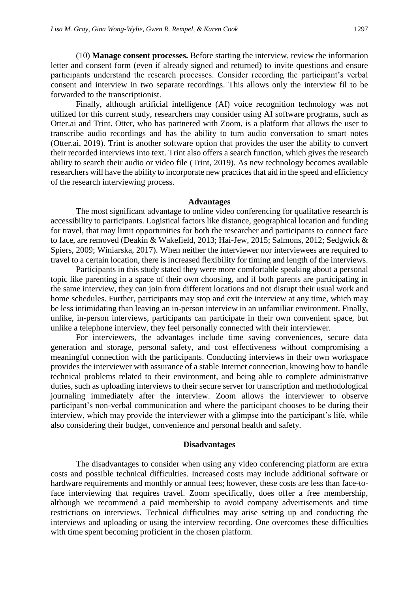(10) **Manage consent processes.** Before starting the interview, review the information letter and consent form (even if already signed and returned) to invite questions and ensure participants understand the research processes. Consider recording the participant's verbal consent and interview in two separate recordings. This allows only the interview fil to be forwarded to the transcriptionist.

Finally, although artificial intelligence (AI) voice recognition technology was not utilized for this current study, researchers may consider using AI software programs, such as Otter.ai and Trint. Otter, who has partnered with Zoom, is a platform that allows the user to transcribe audio recordings and has the ability to turn audio conversation to smart notes (Otter.ai, 2019). Trint is another software option that provides the user the ability to convert their recorded interviews into text. Trint also offers a search function, which gives the research ability to search their audio or video file (Trint, 2019). As new technology becomes available researchers will have the ability to incorporate new practices that aid in the speed and efficiency of the research interviewing process.

#### **Advantages**

The most significant advantage to online video conferencing for qualitative research is accessibility to participants. Logistical factors like distance, geographical location and funding for travel, that may limit opportunities for both the researcher and participants to connect face to face, are removed (Deakin & Wakefield, 2013; Hai-Jew, 2015; Salmons, 2012; Sedgwick & Spiers, 2009; Winiarska, 2017). When neither the interviewer nor interviewees are required to travel to a certain location, there is increased flexibility for timing and length of the interviews.

Participants in this study stated they were more comfortable speaking about a personal topic like parenting in a space of their own choosing, and if both parents are participating in the same interview, they can join from different locations and not disrupt their usual work and home schedules. Further, participants may stop and exit the interview at any time, which may be less intimidating than leaving an in-person interview in an unfamiliar environment. Finally, unlike, in-person interviews, participants can participate in their own convenient space, but unlike a telephone interview, they feel personally connected with their interviewer.

For interviewers, the advantages include time saving conveniences, secure data generation and storage, personal safety, and cost effectiveness without compromising a meaningful connection with the participants. Conducting interviews in their own workspace provides the interviewer with assurance of a stable Internet connection, knowing how to handle technical problems related to their environment, and being able to complete administrative duties, such as uploading interviews to their secure server for transcription and methodological journaling immediately after the interview. Zoom allows the interviewer to observe participant's non-verbal communication and where the participant chooses to be during their interview, which may provide the interviewer with a glimpse into the participant's life, while also considering their budget, convenience and personal health and safety.

#### **Disadvantages**

The disadvantages to consider when using any video conferencing platform are extra costs and possible technical difficulties. Increased costs may include additional software or hardware requirements and monthly or annual fees; however, these costs are less than face-toface interviewing that requires travel. Zoom specifically, does offer a free membership, although we recommend a paid membership to avoid company advertisements and time restrictions on interviews. Technical difficulties may arise setting up and conducting the interviews and uploading or using the interview recording. One overcomes these difficulties with time spent becoming proficient in the chosen platform.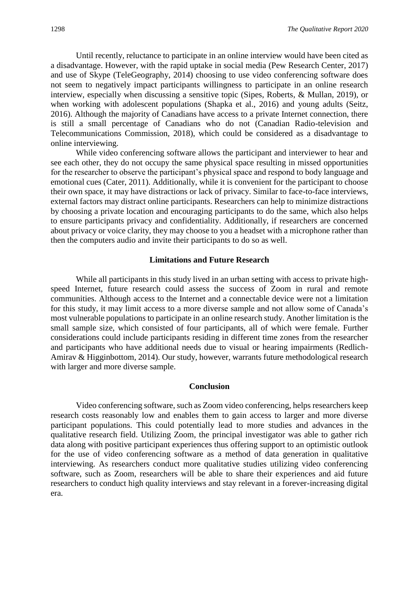Until recently, reluctance to participate in an online interview would have been cited as a disadvantage. However, with the rapid uptake in social media (Pew Research Center, 2017) and use of Skype (TeleGeography, 2014) choosing to use video conferencing software does not seem to negatively impact participants willingness to participate in an online research interview, especially when discussing a sensitive topic (Sipes, Roberts, & Mullan, 2019), or when working with adolescent populations (Shapka et al., 2016) and young adults (Seitz, 2016). Although the majority of Canadians have access to a private Internet connection, there is still a small percentage of Canadians who do not (Canadian Radio-television and Telecommunications Commission, 2018), which could be considered as a disadvantage to online interviewing.

While video conferencing software allows the participant and interviewer to hear and see each other, they do not occupy the same physical space resulting in missed opportunities for the researcher to observe the participant's physical space and respond to body language and emotional cues (Cater, 2011). Additionally, while it is convenient for the participant to choose their own space, it may have distractions or lack of privacy. Similar to face-to-face interviews, external factors may distract online participants. Researchers can help to minimize distractions by choosing a private location and encouraging participants to do the same, which also helps to ensure participants privacy and confidentiality. Additionally, if researchers are concerned about privacy or voice clarity, they may choose to you a headset with a microphone rather than then the computers audio and invite their participants to do so as well.

#### **Limitations and Future Research**

While all participants in this study lived in an urban setting with access to private highspeed Internet, future research could assess the success of Zoom in rural and remote communities. Although access to the Internet and a connectable device were not a limitation for this study, it may limit access to a more diverse sample and not allow some of Canada's most vulnerable populations to participate in an online research study. Another limitation is the small sample size, which consisted of four participants, all of which were female. Further considerations could include participants residing in different time zones from the researcher and participants who have additional needs due to visual or hearing impairments (Redlich-Amirav & Higginbottom, 2014). Our study, however, warrants future methodological research with larger and more diverse sample.

#### **Conclusion**

Video conferencing software, such as Zoom video conferencing, helps researchers keep research costs reasonably low and enables them to gain access to larger and more diverse participant populations. This could potentially lead to more studies and advances in the qualitative research field. Utilizing Zoom, the principal investigator was able to gather rich data along with positive participant experiences thus offering support to an optimistic outlook for the use of video conferencing software as a method of data generation in qualitative interviewing. As researchers conduct more qualitative studies utilizing video conferencing software, such as Zoom, researchers will be able to share their experiences and aid future researchers to conduct high quality interviews and stay relevant in a forever-increasing digital era.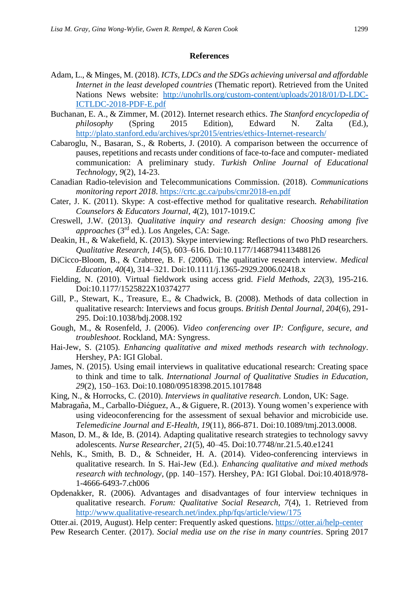#### **References**

- Adam, L., & Minges, M. (2018). *ICTs, LDCs and the SDGs achieving universal and affordable Internet in the least developed countries* (Thematic report). Retrieved from the United Nations News website: [http://unohrlls.org/custom-content/uploads/2018/01/D-LDC-](http://unohrlls.org/custom-content/uploads/2018/01/D-LDC-ICTLDC-2018-PDF-E.pdf)[ICTLDC-2018-PDF-E.pdf](http://unohrlls.org/custom-content/uploads/2018/01/D-LDC-ICTLDC-2018-PDF-E.pdf)
- Buchanan, E. A., & Zimmer, M. (2012). Internet research ethics. *The Stanford encyclopedia of philosophy* (Spring 2015 Edition), Edward N. Zalta (Ed.), <http://plato.stanford.edu/archives/spr2015/entries/ethics-Internet-research/>
- Cabaroglu, N., Basaran, S., & Roberts, J. (2010). A comparison between the occurrence of pauses, repetitions and recasts under conditions of face-to-face and computer- mediated communication: A preliminary study. *Turkish Online Journal of Educational Technology*, *9*(2), 14-23.
- Canadian Radio-television and Telecommunications Commission. (2018). *Communications monitoring report 2018*.<https://crtc.gc.ca/pubs/cmr2018-en.pdf>
- Cater, J. K. (2011). Skype: A cost-effective method for qualitative research. *Rehabilitation Counselors & Educators Journal*, *4*(2), 1017-1019.C
- Creswell, J.W. (2013). *Qualitative inquiry and research design: Choosing among five approaches* (3rd ed.). Los Angeles, CA: Sage.
- Deakin, H., & Wakefield, K. (2013). Skype interviewing: Reflections of two PhD researchers. *Qualitative Research, 14*(5), 603–616. Doi:10.1177/1468794113488126
- DiCicco-Bloom, B., & Crabtree, B. F. (2006). The qualitative research interview. *Medical Education, 40*(4), 314–321. Doi:10.1111/j.1365-2929.2006.02418.x
- Fielding, N. (2010). Virtual fieldwork using access grid. *Field Methods, 22*(3), 195-216. Doi:10.1177/1525822X10374277
- Gill, P., Stewart, K., Treasure, E., & Chadwick, B. (2008). Methods of data collection in qualitative research: Interviews and focus groups. *British Dental Journal, 204*(6), 291- 295. Doi:10.1038/bdj.2008.192
- Gough, M., & Rosenfeld, J. (2006). *Video conferencing over IP: Configure, secure, and troubleshoot*. Rockland, MA: Syngress.
- Hai-Jew, S. (2105). *Enhancing qualitative and mixed methods research with technology*. Hershey, PA: IGI Global.
- James, N. (2015). Using email interviews in qualitative educational research: Creating space to think and time to talk. *International Journal of Qualitative Studies in Education, 29*(2), 150–163. Doi:10.1080/09518398.2015.1017848
- King, N., & Horrocks, C. (2010). *Interviews in qualitative research*. London, UK: Sage.
- Mabragaña, M., Carballo-Diéguez, A., & Giguere, R. (2013). Young women's experience with using videoconferencing for the assessment of sexual behavior and microbicide use. *Telemedicine Journal and E-Health, 19*(11), 866-871. Doi:10.1089/tmj.2013.0008.
- Mason, D. M., & Ide, B. (2014). Adapting qualitative research strategies to technology savvy adolescents. *Nurse Researcher, 21*(5), 40–45. Doi:10.7748/nr.21.5.40.e1241
- Nehls, K., Smith, B. D., & Schneider, H. A. (2014). Video-conferencing interviews in qualitative research. In S. Hai-Jew (Ed.). *Enhancing qualitative and mixed methods research with technology*, (pp. 140–157). Hershey, PA: IGI Global. Doi:10.4018/978- 1-4666-6493-7.ch006
- Opdenakker, R. (2006). Advantages and disadvantages of four interview techniques in qualitative research. *Forum: Qualitative Social Research, 7*(4), 1. Retrieved from <http://www.qualitative-research.net/index.php/fqs/article/view/175>
- Otter.ai. (2019, August). Help center: Frequently asked questions.<https://otter.ai/help-center>
- Pew Research Center. (2017). *Social media use on the rise in many countries*. Spring 2017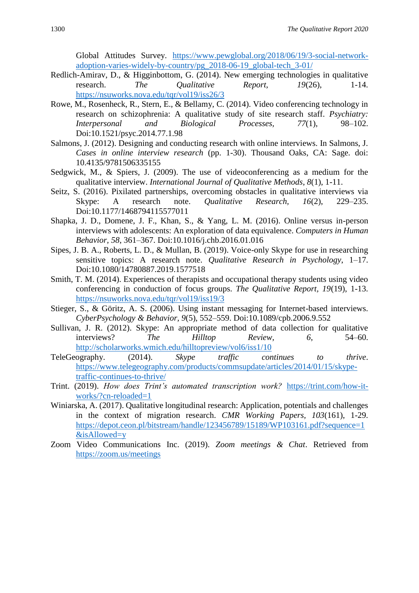Global Attitudes Survey. [https://www.pewglobal.org/2018/06/19/3-social-network](https://www.pewglobal.org/2018/06/19/3-social-network-adoption-varies-widely-by-country/pg_2018-06-19_global-tech_3-01/)[adoption-varies-widely-by-country/pg\\_2018-06-19\\_global-tech\\_3-01/](https://www.pewglobal.org/2018/06/19/3-social-network-adoption-varies-widely-by-country/pg_2018-06-19_global-tech_3-01/)

- Redlich-Amirav, D., & Higginbottom, G. (2014). New emerging technologies in qualitative research. *The Qualitative Report, 19(26),* 1-14. <https://nsuworks.nova.edu/tqr/vol19/iss26/3>
- Rowe, M., Rosenheck, R., Stern, E., & Bellamy, C. (2014). Video conferencing technology in research on schizophrenia: A qualitative study of site research staff. *Psychiatry: Interpersonal and Biological Processes, 77*(1), 98–102. Doi:10.1521/psyc.2014.77.1.98
- Salmons, J. (2012). Designing and conducting research with online interviews. In Salmons, J. *Cases in online interview research* (pp. 1-30). Thousand Oaks, CA: Sage. doi: 10.4135/9781506335155
- Sedgwick, M., & Spiers, J. (2009). The use of videoconferencing as a medium for the qualitative interview. *International Journal of Qualitative Methods*, *8*(1), 1-11.
- Seitz, S. (2016). Pixilated partnerships, overcoming obstacles in qualitative interviews via Skype: A research note. *Qualitative Research, 16*(2), 229–235. Doi:10.1177/1468794115577011
- Shapka, J. D., Domene, J. F., Khan, S., & Yang, L. M. (2016). Online versus in-person interviews with adolescents: An exploration of data equivalence. *Computers in Human Behavior, 58*, 361–367. Doi:10.1016/j.chb.2016.01.016
- Sipes, J. B. A., Roberts, L. D., & Mullan, B. (2019). Voice-only Skype for use in researching sensitive topics: A research note. *Qualitative Research in Psychology*, 1–17. Doi:10.1080/14780887.2019.1577518
- Smith, T. M. (2014). Experiences of therapists and occupational therapy students using video conferencing in conduction of focus groups. *The Qualitative Report, 19*(19), 1-13. <https://nsuworks.nova.edu/tqr/vol19/iss19/3>
- Stieger, S., & Göritz, A. S. (2006). Using instant messaging for Internet-based interviews. *CyberPsychology & Behavior, 9*(5), 552–559. Doi:10.1089/cpb.2006.9.552
- Sullivan, J. R. (2012). Skype: An appropriate method of data collection for qualitative interviews? *The Hilltop Review, 6*, 54–60. <http://scholarworks.wmich.edu/hilltopreview/vol6/iss1/10>
- TeleGeography. (2014). *Skype traffic continues to thrive*. [https://www.telegeography.com/products/commsupdate/articles/2014/01/15/skype](https://www.telegeography.com/products/commsupdate/articles/2014/01/15/skype-traffic-continues-to-thrive/)[traffic-continues-to-thrive/](https://www.telegeography.com/products/commsupdate/articles/2014/01/15/skype-traffic-continues-to-thrive/)
- Trint. (2019). *How does Trint's automated transcription work?* [https://trint.com/how-it](https://trint.com/how-it-works/?cn-reloaded=1)[works/?cn-reloaded=1](https://trint.com/how-it-works/?cn-reloaded=1)
- Winiarska, A. (2017). Qualitative longitudinal research: Application, potentials and challenges in the context of migration research. *CMR Working Papers, 103*(161), 1-29. [https://depot.ceon.pl/bitstream/handle/123456789/15189/WP103161.pdf?sequence=1](https://depot.ceon.pl/bitstream/handle/123456789/15189/WP103161.pdf?sequence=1&isAllowed=y) [&isAllowed=y](https://depot.ceon.pl/bitstream/handle/123456789/15189/WP103161.pdf?sequence=1&isAllowed=y)
- Zoom Video Communications Inc. (2019). *Zoom meetings & Chat*. Retrieved from <https://zoom.us/meetings>